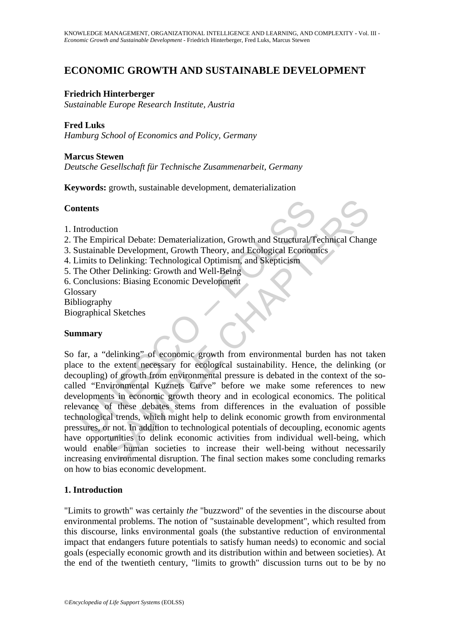# **ECONOMIC GROWTH AND SUSTAINABLE DEVELOPMENT**

## **Friedrich Hinterberger**

*Sustainable Europe Research Institute, Austria* 

# **Fred Luks**

*Hamburg School of Economics and Policy, Germany* 

## **Marcus Stewen**

*Deutsche Gesellschaft für Technische Zusammenarbeit, Germany* 

**Keywords:** growth, sustainable development, dematerialization

## **Contents**

- 1. Introduction
- 2. The Empirical Debate: Dematerialization, Growth and Structural/Technical Change
- 3. Sustainable Development, Growth Theory, and Ecological Economics
- 4. Limits to Delinking: Technological Optimism, and Skepticism
- 5. The Other Delinking: Growth and Well-Being
- 6. Conclusions: Biasing Economic Development
- **Glossary**
- Bibliography
- Biographical Sketches

## **Summary**

**Example 12**<br>
Internal Conduction<br>
the Empirical Debate: Dematerialization, Growth and Structural/T<br>
ustainable Development, Growth Theory, and Ecological Econom<br>
Internal to Dellinking: Technological Optimism, and Skeptic tion<br>
ionical Debate: Dematerialization, Growth and Structural/Technical Chang<br>
ble Development, Growth Theory, and Ecological Economics<br>
Delinking: Technological Optimism, and Skepticism<br>
er Delinking: Growth and Well-Bei So far, a "delinking" of economic growth from environmental burden has not taken place to the extent necessary for ecological sustainability. Hence, the delinking (or decoupling) of growth from environmental pressure is debated in the context of the socalled "Environmental Kuznets Curve" before we make some references to new developments in economic growth theory and in ecological economics. The political relevance of these debates stems from differences in the evaluation of possible technological trends, which might help to delink economic growth from environmental pressures, or not. In addition to technological potentials of decoupling, economic agents have opportunities to delink economic activities from individual well-being, which would enable human societies to increase their well-being without necessarily increasing environmental disruption. The final section makes some concluding remarks on how to bias economic development.

# **1. Introduction**

"Limits to growth" was certainly *the* "buzzword" of the seventies in the discourse about environmental problems. The notion of "sustainable development", which resulted from this discourse, links environmental goals (the substantive reduction of environmental impact that endangers future potentials to satisfy human needs) to economic and social goals (especially economic growth and its distribution within and between societies). At the end of the twentieth century, "limits to growth" discussion turns out to be by no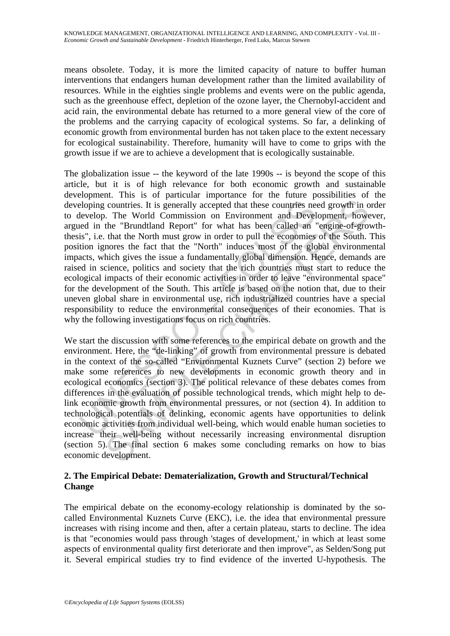means obsolete. Today, it is more the limited capacity of nature to buffer human interventions that endangers human development rather than the limited availability of resources. While in the eighties single problems and events were on the public agenda, such as the greenhouse effect, depletion of the ozone layer, the Chernobyl-accident and acid rain, the environmental debate has returned to a more general view of the core of the problems and the carrying capacity of ecological systems. So far, a delinking of economic growth from environmental burden has not taken place to the extent necessary for ecological sustainability. Therefore, humanity will have to come to grips with the growth issue if we are to achieve a development that is ecologically sustainable.

eloping countries. It is generally accepted that these countries ne<br>elevelop. The World Commission on Environment and Devel<br>ed in the "Brundtland Report" for what has been called an '<br>is", i.e. that the North must grow in countries. It is generally accepted that these countries need growth in o. The World Commission on Environment and Development, howe the "Brundhand Report" for what has been called an "engine-of-growth that the North must The globalization issue -- the keyword of the late 1990s -- is beyond the scope of this article, but it is of high relevance for both economic growth and sustainable development. This is of particular importance for the future possibilities of the developing countries. It is generally accepted that these countries need growth in order to develop. The World Commission on Environment and Development, however, argued in the "Brundtland Report" for what has been called an "engine-of-growththesis", i.e. that the North must grow in order to pull the economies of the South. This position ignores the fact that the "North" induces most of the global environmental impacts, which gives the issue a fundamentally global dimension. Hence, demands are raised in science, politics and society that the rich countries must start to reduce the ecological impacts of their economic activities in order to leave "environmental space" for the development of the South. This article is based on the notion that, due to their uneven global share in environmental use, rich industrialized countries have a special responsibility to reduce the environmental consequences of their economies. That is why the following investigations focus on rich countries.

We start the discussion with some references to the empirical debate on growth and the environment. Here, the "de-linking" of growth from environmental pressure is debated in the context of the so-called "Environmental Kuznets Curve" (section 2) before we make some references to new developments in economic growth theory and in ecological economics (section 3). The political relevance of these debates comes from differences in the evaluation of possible technological trends, which might help to delink economic growth from environmental pressures, or not (section 4). In addition to technological potentials of delinking, economic agents have opportunities to delink economic activities from individual well-being, which would enable human societies to increase their well-being without necessarily increasing environmental disruption (section 5). The final section 6 makes some concluding remarks on how to bias economic development.

# **2. The Empirical Debate: Dematerialization, Growth and Structural/Technical Change**

The empirical debate on the economy-ecology relationship is dominated by the socalled Environmental Kuznets Curve (EKC), i.e. the idea that environmental pressure increases with rising income and then, after a certain plateau, starts to decline. The idea is that "economies would pass through 'stages of development,' in which at least some aspects of environmental quality first deteriorate and then improve", as Selden/Song put it. Several empirical studies try to find evidence of the inverted U-hypothesis. The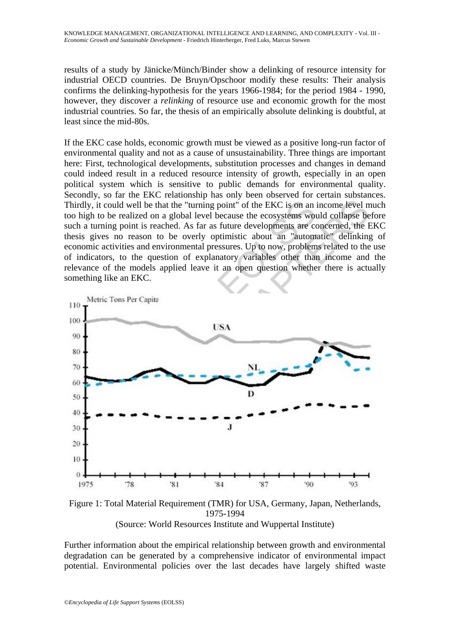results of a study by Jänicke/Münch/Binder show a delinking of resource intensity for industrial OECD countries. De Bruyn/Opschoor modify these results: Their analysis confirms the delinking-hypothesis for the years 1966-1984; for the period 1984 - 1990, however, they discover a *relinking* of resource use and economic growth for the most industrial countries. So far, the thesis of an empirically absolute delinking is doubtful, at least since the mid-80s.

If the EKC case holds, economic growth must be viewed as a positive long-run factor of environmental quality and not as a cause of unsustainability. Three things are important here: First, technological developments, substitution processes and changes in demand could indeed result in a reduced resource intensity of growth, especially in an open political system which is sensitive to public demands for environmental quality. Secondly, so far the EKC relationship has only been observed for certain substances. Thirdly, it could well be that the "turning point" of the EKC is on an income level much too high to be realized on a global level because the ecosystems would collapse before such a turning point is reached. As far as future developments are concerned, the EKC thesis gives no reason to be overly optimistic about an "automatic" delinking of economic activities and environmental pressures. Up to now, problems related to the use of indicators, to the question of explanatory variables other than income and the relevance of the models applied leave it an open question whether there is actually something like an EKC.



Figure 1: Total Material Requirement (TMR) for USA, Germany, Japan, Netherlands, 1975-1994 (Source: World Resources Institute and Wuppertal Institute)

Further information about the empirical relationship between growth and environmental degradation can be generated by a comprehensive indicator of environmental impact potential. Environmental policies over the last decades have largely shifted waste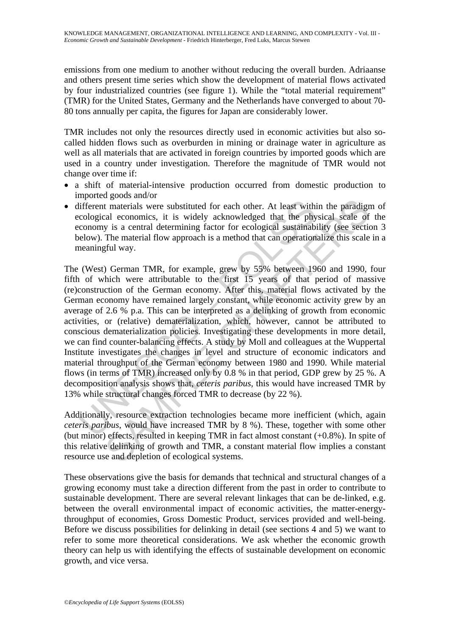emissions from one medium to another without reducing the overall burden. Adriaanse and others present time series which show the development of material flows activated by four industrialized countries (see figure 1). While the "total material requirement" (TMR) for the United States, Germany and the Netherlands have converged to about 70- 80 tons annually per capita, the figures for Japan are considerably lower.

TMR includes not only the resources directly used in economic activities but also socalled hidden flows such as overburden in mining or drainage water in agriculture as well as all materials that are activated in foreign countries by imported goods which are used in a country under investigation. Therefore the magnitude of TMR would not change over time if:

- a shift of material-intensive production occurred from domestic production to imported goods and/or
- different materials were substituted for each other. At least within the paradigm of ecological economics, it is widely acknowledged that the physical scale of the economy is a central determining factor for ecological sustainability (see section 3 below). The material flow approach is a method that can operationalize this scale in a meaningful way.

different materials were substituted for each other. At least with<br>cological economics, it is widely acknowledged that the phy<br>conomy is a central determining factor for ecological sustainabi<br>elow). The material flow appr soco and the parallel for each other. At least within the paraligy and some and the materials were substituted for each other. At least within the paradigral economics, it is widely acknowledged that the physical scale of The (West) German TMR, for example, grew by 55% between 1960 and 1990, four fifth of which were attributable to the first 15 years of that period of massive (re)construction of the German economy. After this, material flows activated by the German economy have remained largely constant, while economic activity grew by an average of 2.6 % p.a. This can be interpreted as a delinking of growth from economic activities, or (relative) dematerialization, which, however, cannot be attributed to conscious dematerialization policies. Investigating these developments in more detail, we can find counter-balancing effects. A study by Moll and colleagues at the Wuppertal Institute investigates the changes in level and structure of economic indicators and material throughput of the German economy between 1980 and 1990. While material flows (in terms of TMR) increased only by 0.8 % in that period, GDP grew by 25 %. A decomposition analysis shows that, *ceteris paribus,* this would have increased TMR by 13% while structural changes forced TMR to decrease (by 22 %).

Additionally, resource extraction technologies became more inefficient (which, again *ceteris paribus*, would have increased TMR by 8 %). These, together with some other (but minor) effects, resulted in keeping TMR in fact almost constant (+0.8%). In spite of this relative delinking of growth and TMR, a constant material flow implies a constant resource use and depletion of ecological systems.

These observations give the basis for demands that technical and structural changes of a growing economy must take a direction different from the past in order to contribute to sustainable development. There are several relevant linkages that can be de-linked, e.g. between the overall environmental impact of economic activities, the matter-energythroughput of economies, Gross Domestic Product, services provided and well-being. Before we discuss possibilities for delinking in detail (see sections 4 and 5) we want to refer to some more theoretical considerations. We ask whether the economic growth theory can help us with identifying the effects of sustainable development on economic growth, and vice versa.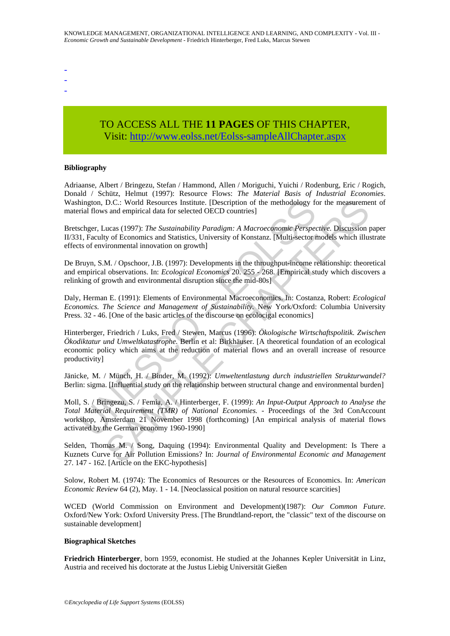- -
- -
- -

# TO ACCESS ALL THE **11 PAGES** OF THIS CHAPTER, Visit: [http://www.eolss.net/Eolss-sampleAllChapter.aspx](https://www.eolss.net/ebooklib/sc_cart.aspx?File=E1-29-04-08)

#### **Bibliography**

Adriaanse, Albert / Bringezu, Stefan / Hammond, Allen / Moriguchi, Yuichi / Rodenburg, Eric / Rogich, Donald / Schütz, Helmut (1997): Resource Flows: *The Material Basis of Industrial Economies*. Washington, D.C.: World Resources Institute. [Description of the methodology for the measurement of material flows and empirical data for selected OECD countries]

Bretschger, Lucas (1997): *The Sustainability Paradigm: A Macroeconomic Perspective*. Discussion paper II/331, Faculty of Economics and Statistics, University of Konstanz. [Multi-sector models which illustrate effects of environmental innovation on growth]

De Bruyn, S.M. / Opschoor, J.B. (1997): Developments in the throughput-income relationship: theoretical and empirical observations. In: *Ecological Economics* 20. 255 - 268. [Empirical study which discovers a relinking of growth and environmental disruption since the mid-80s]

Daly, Herman E. (1991): Elements of Environmental Macroeconomics. In: Costanza, Robert: *Ecological Economics. The Science and Management of Sustainability.* New York/Oxford: Columbia University Press. 32 - 46. [One of the basic articles of the discourse on ecolocigal economics]

thington, D.C.: World Resources Institute. [Description of the methodology for<br>aid flows and empirical data for selected OECD countries]<br>schger, Lucas (1997): *The Sustainability Paradigm: A Macroeconomic Perspec*<br>1, Facul D.C.: World Resources Institute. [Description of the methodology for the measuremes and empirical data for selected OECD countries]<br>
a.c.es. (1997): The Sustainability Paradigm: A Macrocconomic Perspective. Discussion para Hinterberger, Friedrich / Luks, Fred / Stewen, Marcus (1996): *Ökologische Wirtschaftspolitik. Zwischen Ökodiktatur und Umweltkatastrophe.* Berlin et al: Birkhäuser. [A theoretical foundation of an ecological economic policy which aims at the reduction of material flows and an overall increase of resource productivity]

Jänicke, M. / Münch, H. / Binder, M. (1992): *Umweltentlastung durch industriellen Strukturwandel?* Berlin: sigma. [Influential study on the relationship between structural change and environmental burden]

Moll, S. / Bringezu, S. / Femia, A. / Hinterberger, F. (1999): *An Input-Output Approach to Analyse the Total Material Requirement (TMR) of National Economies.* - Proceedings of the 3rd ConAccount workshop, Amsterdam 21 November 1998 (forthcoming) [An empirical analysis of material flows activated by the German economy 1960-1990]

Selden, Thomas M. / Song, Daquing (1994): Environmental Quality and Development: Is There a Kuznets Curve for Air Pollution Emissions? In: *Journal of Environmental Economic and Management* 27. 147 - 162. [Article on the EKC-hypothesis]

Solow, Robert M. (1974): The Economics of Resources or the Resources of Economics. In: *American Economic Review* 64 (2), May. 1 - 14. [Neoclassical position on natural resource scarcities]

WCED (World Commission on Environment and Development)(1987): *Our Common Future*. Oxford/New York: Oxford University Press. [The Brundtland-report, the "classic" text of the discourse on sustainable development]

#### **Biographical Sketches**

**Friedrich Hinterberger**, born 1959, economist. He studied at the Johannes Kepler Universität in Linz, Austria and received his doctorate at the Justus Liebig Universität Gießen